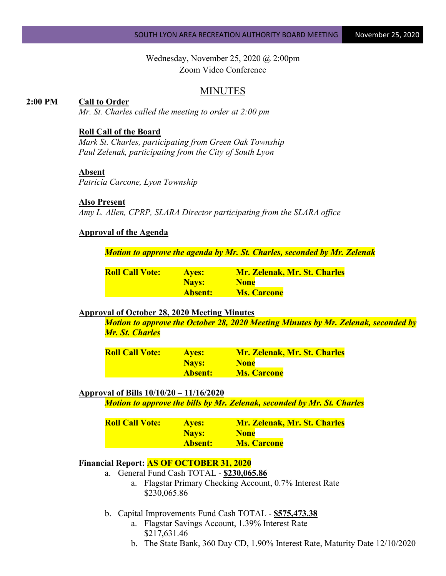Wednesday, November 25, 2020 @ 2:00pm Zoom Video Conference

# MINUTES

## **2:00 PM Call to Order**

*Mr. St. Charles called the meeting to order at 2:00 pm*

## **Roll Call of the Board**

*Mark St. Charles, participating from Green Oak Township Paul Zelenak, participating from the City of South Lyon*

## **Absent**

*Patricia Carcone, Lyon Township*

#### **Also Present**

*Amy L. Allen, CPRP, SLARA Director participating from the SLARA office*

# **Approval of the Agenda**

*Motion to approve the agenda by Mr. St. Charles, seconded by Mr. Zelenak*

| <b>Roll Call Vote:</b> | <b>Aves:</b>   | <b>Mr. Zelenak, Mr. St. Charles</b> |
|------------------------|----------------|-------------------------------------|
|                        | Nays:          | <b>None</b>                         |
|                        | <b>Absent:</b> | <b>Ms. Carcone</b>                  |

# **Approval of October 28, 2020 Meeting Minutes**

*Motion to approve the October 28, 2020 Meeting Minutes by Mr. Zelenak, seconded by Mr. St. Charles*

| <b>Roll Call Vote:</b> | <b>Ayes:</b>   | <b>Mr. Zelenak, Mr. St. Charles</b> |
|------------------------|----------------|-------------------------------------|
|                        | Nays:          | <b>None</b>                         |
|                        | <b>Absent:</b> | <b>Ms. Carcone</b>                  |

# **Approval of Bills 10/10/20 – 11/16/2020**

*Motion to approve the bills by Mr. Zelenak, seconded by Mr. St. Charles*

| <b>Roll Call Vote:</b> | <b>Ayes:</b>   | <b>Mr. Zelenak, Mr. St. Charles</b> |
|------------------------|----------------|-------------------------------------|
|                        | Nays:          | <b>None</b>                         |
|                        | <b>Absent:</b> | <b>Ms. Carcone</b>                  |

#### **Financial Report: AS OF OCTOBER 31, 2020**

- a. General Fund Cash TOTAL **\$230,065.86**
	- a. Flagstar Primary Checking Account, 0.7% Interest Rate \$230,065.86
- b. Capital Improvements Fund Cash TOTAL **\$575,473.38**
	- a. Flagstar Savings Account, 1.39% Interest Rate \$217,631.46
	- b. The State Bank, 360 Day CD, 1.90% Interest Rate, Maturity Date 12/10/2020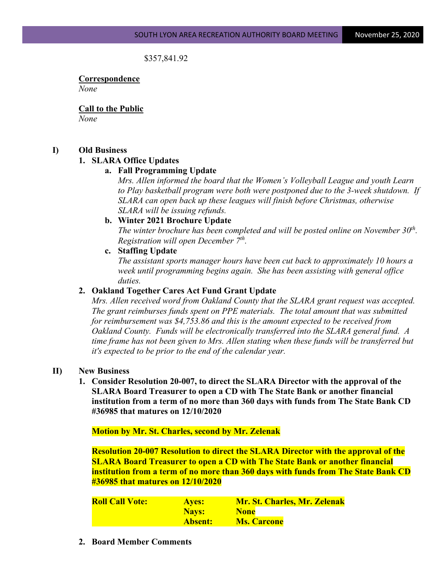## \$357,841.92

**Correspondence** *None*

**Call to the Public** *None*

## **I) Old Business**

## **1. SLARA Office Updates**

## **a. Fall Programming Update**

*Mrs. Allen informed the board that the Women's Volleyball League and youth Learn to Play basketball program were both were postponed due to the 3-week shutdown. If SLARA can open back up these leagues will finish before Christmas, otherwise SLARA will be issuing refunds.*

#### **b. Winter 2021 Brochure Update**

*The winter brochure has been completed and will be posted online on November 30<sup>th</sup>. Registration will open December 7th.*

## **c. Staffing Update**

*The assistant sports manager hours have been cut back to approximately 10 hours a week until programming begins again. She has been assisting with general office duties.*

#### **2. Oakland Together Cares Act Fund Grant Update**

*Mrs. Allen received word from Oakland County that the SLARA grant request was accepted. The grant reimburses funds spent on PPE materials. The total amount that was submitted for reimbursement was \$4,753.86 and this is the amount expected to be received from Oakland County. Funds will be electronically transferred into the SLARA general fund. A time frame has not been given to Mrs. Allen stating when these funds will be transferred but it's expected to be prior to the end of the calendar year.*

#### **II) New Business**

**1. Consider Resolution 20-007, to direct the SLARA Director with the approval of the SLARA Board Treasurer to open a CD with The State Bank or another financial institution from a term of no more than 360 days with funds from The State Bank CD #36985 that matures on 12/10/2020**

**Motion by Mr. St. Charles, second by Mr. Zelenak**

**Resolution 20-007 Resolution to direct the SLARA Director with the approval of the SLARA Board Treasurer to open a CD with The State Bank or another financial institution from a term of no more than 360 days with funds from The State Bank CD #36985 that matures on 12/10/2020**

| <b>Roll Call Vote:</b> | <b>Aves:</b>   | <b>Mr. St. Charles, Mr. Zelenak</b> |
|------------------------|----------------|-------------------------------------|
|                        | Nays:          | <b>None</b>                         |
|                        | <b>Absent:</b> | <b>Ms. Carcone</b>                  |

**2. Board Member Comments**